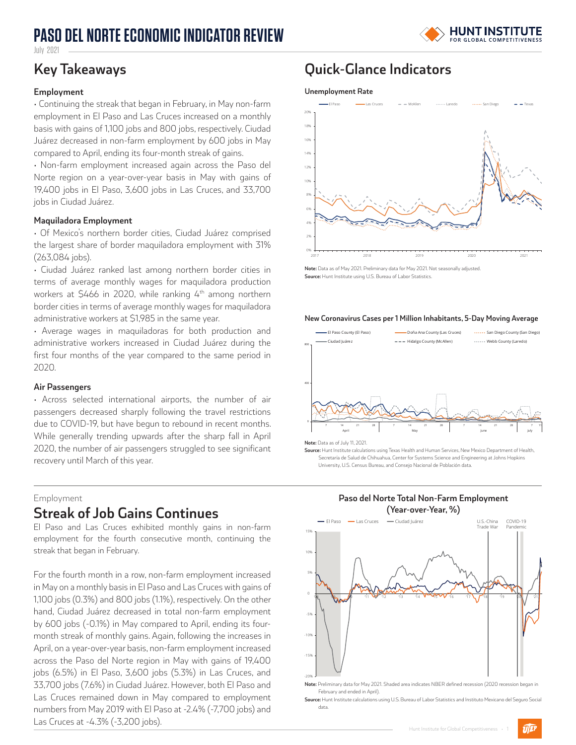# **PASO DEL NORTE ECONOMIC INDICATOR REVIEW**



July 2021

### **Employment**

• Continuing the streak that began in February, in May non-farm employment in El Paso and Las Cruces increased on a monthly basis with gains of 1,100 jobs and 800 jobs, respectively. Ciudad Juárez decreased in non-farm employment by 600 jobs in May compared to April, ending its four-month streak of gains.

• Non-farm employment increased again across the Paso del Norte region on a year-over-year basis in May with gains of 19,400 jobs in El Paso, 3,600 jobs in Las Cruces, and 33,700 jobs in Ciudad Juárez.

#### **Maquiladora Employment**

• Of Mexico's northern border cities, Ciudad Juárez comprised the largest share of border maquiladora employment with 31% (263,084 jobs).

• Ciudad Juárez ranked last among northern border cities in terms of average monthly wages for maquiladora production workers at \$466 in 2020, while ranking 4<sup>th</sup> among northern border cities in terms of average monthly wages for maquiladora administrative workers at \$1,985 in the same year.

• Average wages in maquiladoras for both production and administrative workers increased in Ciudad Juárez during the first four months of the year compared to the same period in 2020.

#### **Air Passengers**

• Across selected international airports, the number of air passengers decreased sharply following the travel restrictions due to COVID-19, but have begun to rebound in recent months. While generally trending upwards after the sharp fall in April 2020, the number of air passengers struggled to see significant recovery until March of this year.

#### Employment

### **Streak of Job Gains Continues**

El Paso and Las Cruces exhibited monthly gains in non-farm employment for the fourth consecutive month, continuing the streak that began in February.

For the fourth month in a row, non-farm employment increased in May on a monthly basis in El Paso and Las Cruces with gains of 1,100 jobs (0.3%) and 800 jobs (1.1%), respectively. On the other hand, Ciudad Juárez decreased in total non-farm employment by 600 jobs (-0.1%) in May compared to April, ending its fourmonth streak of monthly gains. Again, following the increases in April, on a year-over-year basis, non-farm employment increased across the Paso del Norte region in May with gains of 19,400 jobs (6.5%) in El Paso, 3,600 jobs (5.3%) in Las Cruces, and 33,700 jobs (7.6%) in Ciudad Juárez. However, both El Paso and Las Cruces remained down in May compared to employment numbers from May 2019 with El Paso at -2.4% (-7,700 jobs) and Las Cruces at -4.3% (-3,200 jobs).

### **Key Takeaways Quick-Glance Indicators**

#### **Unemployment Rate**



**Note:** Data as of May 2021. Preliminary data for May 2021. Not seasonally adjusted. **Source:** Hunt Institute using U.S. Bureau of Labor Statistics.

#### **New Coronavirus Cases per 1 Million Inhabitants, 5-Day Moving Average**



**Note:** Data as of July 11, 2021.

Source: Hunt Institute calculations using Texas Health and Human Services, New Mexico Department of Health Secretaría de Salud de Chihuahua, Center for Systems Science and Engineering at Johns Hopkins ...... ...sUniversity, U.S. Census Bureau, and Consejo Nacional de Población data.



**Note:** Preliminary data for May 2021. Shaded area indicates NBER defined recession (2020 recession began in February and ended in April).

**Source:** Hunt Institute calculations using U.S. Bureau of Labor Statistics and Instituto Mexicano del Seguro Social data.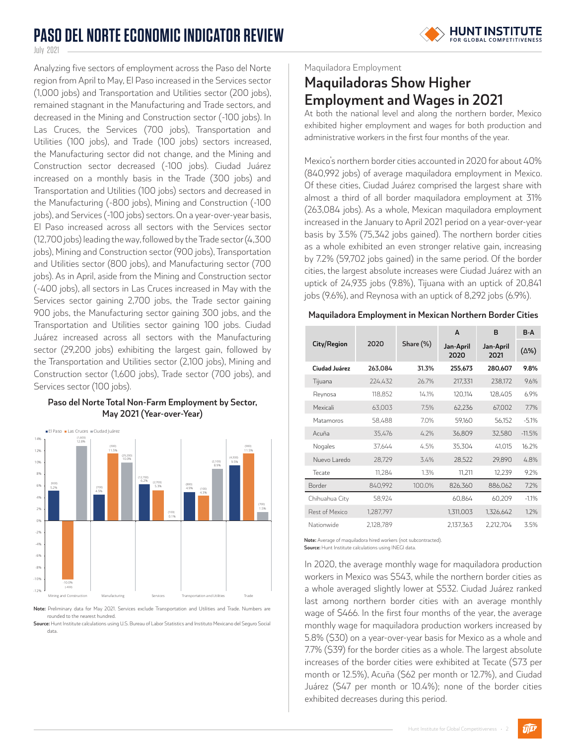# **PASO DEL NORTE ECONOMIC INDICATOR REVIEW**



July 2021

Analyzing five sectors of employment across the Paso del Norte region from April to May, El Paso increased in the Services sector (1,000 jobs) and Transportation and Utilities sector (200 jobs), remained stagnant in the Manufacturing and Trade sectors, and decreased in the Mining and Construction sector (-100 jobs). In Las Cruces, the Services (700 jobs), Transportation and Utilities (100 jobs), and Trade (100 jobs) sectors increased, the Manufacturing sector did not change, and the Mining and Construction sector decreased (-100 jobs). Ciudad Juárez increased on a monthly basis in the Trade (300 jobs) and Transportation and Utilities (100 jobs) sectors and decreased in the Manufacturing (-800 jobs), Mining and Construction (-100 jobs), and Services (-100 jobs) sectors. On a year-over-year basis, El Paso increased across all sectors with the Services sector (12,700 jobs) leading the way, followed by the Trade sector (4,300 jobs), Mining and Construction sector (900 jobs), Transportation and Utilities sector (800 jobs), and Manufacturing sector (700 jobs). As in April, aside from the Mining and Construction sector (-400 jobs), all sectors in Las Cruces increased in May with the Services sector gaining 2,700 jobs, the Trade sector gaining 900 jobs, the Manufacturing sector gaining 300 jobs, and the Transportation and Utilities sector gaining 100 jobs. Ciudad Juárez increased across all sectors with the Manufacturing sector (29,200 jobs) exhibiting the largest gain, followed by the Transportation and Utilities sector (2,100 jobs), Mining and Construction sector (1,600 jobs), Trade sector (700 jobs), and Services sector (100 jobs).



#### **Paso del Norte Total Non-Farm Employment by Sector, May 2021 (Year-over-Year)**

**Note:** Preliminary data for May 2021. Services exclude Transportation and Utilities and Trade. Numbers are rounded to the nearest hundred.

**Source:** Hunt Institute calculations using U.S. Bureau of Labor Statistics and Instituto Mexicano del Seguro Social data.

Maquiladora Employment

### **Maquiladoras Show Higher Employment and Wages in 2021**

At both the national level and along the northern border, Mexico exhibited higher employment and wages for both production and administrative workers in the first four months of the year.

Mexico's northern border cities accounted in 2020 for about 40% (840,992 jobs) of average maquiladora employment in Mexico. Of these cities, Ciudad Juárez comprised the largest share with almost a third of all border maquiladora employment at 31% (263,084 jobs). As a whole, Mexican maquiladora employment increased in the January to April 2021 period on a year-over-year basis by 3.5% (75,342 jobs gained). The northern border cities as a whole exhibited an even stronger relative gain, increasing by 7.2% (59,702 jobs gained) in the same period. Of the border cities, the largest absolute increases were Ciudad Juárez with an uptick of 24,935 jobs (9.8%), Tijuana with an uptick of 20,841 jobs (9.6%), and Reynosa with an uptick of 8,292 jobs (6.9%).

#### **Maquiladora Employment in Mexican Northern Border Cities**

|                |           |              | A                 | B                 | $B-A$        |
|----------------|-----------|--------------|-------------------|-------------------|--------------|
| City/Region    | 2020      | Share $(\%)$ | Jan-April<br>2020 | Jan-April<br>2021 | $(\Delta\%)$ |
| Ciudad Juárez  | 263,084   | 31.3%        | 255,673           | 280,607           | 9.8%         |
| Tijuana        | 224.432   | 26.7%        | 217,331           | 238,172           | 9.6%         |
| Reynosa        | 118,852   | 14.1%        | 120.114           | 128,405           | 6.9%         |
| Mexicali       | 63,003    | 7.5%         | 62,236            | 67,002            | 7.7%         |
| Matamoros      | 58.488    | 70%          | 59.160            | 56.152            | $-5.1%$      |
| Aruña          | 35,476    | 4.7%         | 36.809            | 32,580            | $-11.5%$     |
| Nogales        | 37.644    | 4.5%         | 35.304            | 41.015            | 16.2%        |
| Nuevo Laredo   | 28,729    | 3.4%         | 28,522            | 29,890            | 4.8%         |
| Tecate         | 11.284    | 1.3%         | 11.211            | 12.239            | 9.2%         |
| Border         | 840,992   | 100.0%       | 826,360           | 886,062           | 7.2%         |
| Chihuahua City | 58,924    |              | 60.864            | 60.209            | $-1.1%$      |
| Rest of Mexico | 1,287,797 |              | 1,311,003         | 1,326,642         | 1.2%         |
| Nationwide     | 2.128.789 |              | 2,137,363         | 2.212.704         | 3.5%         |

**Note:** Average of maquiladora hired workers (not subcontracted). **Source:** Hunt Institute calculations using INEGI data.

In 2020, the average monthly wage for maquiladora production workers in Mexico was \$543, while the northern border cities as a whole averaged slightly lower at \$532. Ciudad Juárez ranked last among northern border cities with an average monthly wage of \$466. In the first four months of the year, the average monthly wage for maquiladora production workers increased by 5.8% (\$30) on a year-over-year basis for Mexico as a whole and 7.7% (\$39) for the border cities as a whole. The largest absolute increases of the border cities were exhibited at Tecate (\$73 per month or 12.5%), Acuña (\$62 per month or 12.7%), and Ciudad Juárez (\$47 per month or 10.4%); none of the border cities exhibited decreases during this period.